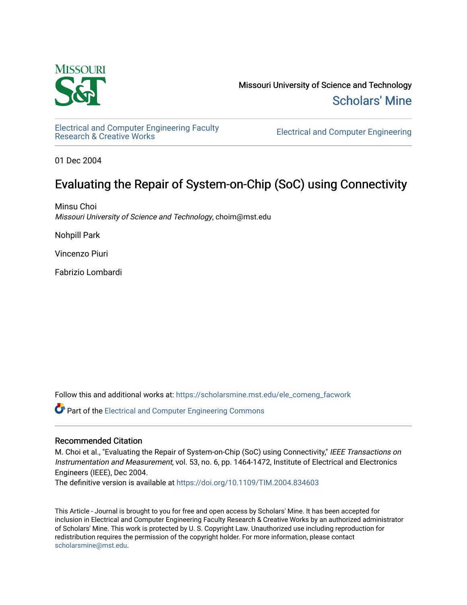

Missouri University of Science and Technology [Scholars' Mine](https://scholarsmine.mst.edu/) 

[Electrical and Computer Engineering Faculty](https://scholarsmine.mst.edu/ele_comeng_facwork)

**Electrical and Computer Engineering** 

01 Dec 2004

## Evaluating the Repair of System-on-Chip (SoC) using Connectivity

Minsu Choi Missouri University of Science and Technology, choim@mst.edu

Nohpill Park

Vincenzo Piuri

Fabrizio Lombardi

Follow this and additional works at: [https://scholarsmine.mst.edu/ele\\_comeng\\_facwork](https://scholarsmine.mst.edu/ele_comeng_facwork?utm_source=scholarsmine.mst.edu%2Fele_comeng_facwork%2F1032&utm_medium=PDF&utm_campaign=PDFCoverPages)

**C** Part of the Electrical and Computer Engineering Commons

### Recommended Citation

M. Choi et al., "Evaluating the Repair of System-on-Chip (SoC) using Connectivity," IEEE Transactions on Instrumentation and Measurement, vol. 53, no. 6, pp. 1464-1472, Institute of Electrical and Electronics Engineers (IEEE), Dec 2004.

The definitive version is available at <https://doi.org/10.1109/TIM.2004.834603>

This Article - Journal is brought to you for free and open access by Scholars' Mine. It has been accepted for inclusion in Electrical and Computer Engineering Faculty Research & Creative Works by an authorized administrator of Scholars' Mine. This work is protected by U. S. Copyright Law. Unauthorized use including reproduction for redistribution requires the permission of the copyright holder. For more information, please contact [scholarsmine@mst.edu.](mailto:scholarsmine@mst.edu)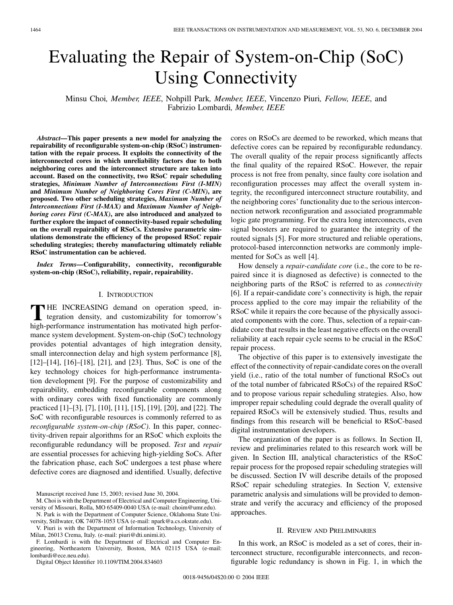# Evaluating the Repair of System-on-Chip (SoC) Using Connectivity

Minsu Choi*, Member, IEEE*, Nohpill Park*, Member, IEEE*, Vincenzo Piuri*, Fellow, IEEE*, and Fabrizio Lombardi*, Member, IEEE*

*Abstract—***This paper presents a new model for analyzing the repairability of reconfigurable system-on-chip (RSoC) instrumentation with the repair process. It exploits the connectivity of the interconnected cores in which unreliability factors due to both neighboring cores and the interconnect structure are taken into account. Based on the connectivity, two RSoC repair scheduling strategies,** *Minimum Number of Interconnections First (I-MIN)* **and** *Minimum Number of Neighboring Cores First (C-MIN)***, are proposed. Two other scheduling strategies,** *Maximum Number of Interconnections First (I-MAX)* **and** *Maximum Number of Neighboring cores First (C-MAX)***, are also introduced and analyzed to further explore the impact of connectivity-based repair scheduling on the overall repairability of RSoCs. Extensive parametric simulations demonstrate the efficiency of the proposed RSoC repair scheduling strategies; thereby manufacturing ultimately reliable RSoC instrumentation can be achieved.**

*Index Terms—***Configurability, connectivity, reconfigurable system-on-chip (RSoC), reliability, repair, repairability.**

#### I. INTRODUCTION

**T** HE INCREASING demand on operation speed, integration density, and customizability for tomorrow's high-performance instrumentation has motivated high performance system development. System-on-chip (SoC) technology provides potential advantages of high integration density, small interconnection delay and high system performance [[8\]](#page-8-0), [[12\]](#page-8-0)–[\[14](#page-8-0)], [\[16](#page-8-0)]–[[18\]](#page-8-0), [\[21](#page-8-0)], and [\[23](#page-8-0)]. Thus, SoC is one of the key technology choices for high-performance instrumentation development [[9\]](#page-8-0). For the purpose of customizability and repairability, embedding reconfigurable components along with ordinary cores with fixed functionality are commonly practiced [[1\]](#page-8-0)–[[3\]](#page-8-0), [\[7](#page-8-0)], [[10\]](#page-8-0), [\[11](#page-8-0)], [\[15](#page-8-0)], [[19\]](#page-8-0), [\[20](#page-8-0)], and [[22\]](#page-8-0). The SoC with reconfigurable resources is commonly referred to as *reconfigurable system-on-chip (RSoC)*. In this paper, connectivity-driven repair algorithms for an RSoC which exploits the reconfigurable redundancy will be proposed. *Test* and *repair* are essential processes for achieving high-yielding SoCs. After the fabrication phase, each SoC undergoes a test phase where defective cores are diagnosed and identified. Usually, defective

Manuscript received June 15, 2003; revised June 30, 2004.

M. Choi is with the Department of Electrical and Computer Engineering, University of Missouri, Rolla, MO 65409-0040 USA (e-mail: choim@umr.edu).

N. Park is with the Department of Computer Science, Oklahoma State University, Stillwater, OK 74078-1053 USA (e-mail: npark@a.cs.okstate.edu).

V. Piuri is with the Department of Information Technology, University of Milan, 26013 Crema, Italy. (e-mail: piuri@dti.unimi.it).

F. Lombardi is with the Department of Electrical and Computer Engineering, Northeastern University, Boston, MA 02115 USA (e-mail: lombardi@ece.neu.edu).

Digital Object Identifier 10.1109/TIM.2004.834603

cores on RSoCs are deemed to be reworked, which means that defective cores can be repaired by reconfigurable redundancy. The overall quality of the repair process significantly affects the final quality of the repaired RSoC. However, the repair process is not free from penalty, since faulty core isolation and reconfiguration processes may affect the overall system integrity, the reconfigured interconnect structure routability, and the neighboring cores' functionality due to the serious interconnection network reconfiguration and associated programmable logic gate programming. For the extra long interconnects, even signal boosters are required to guarantee the integrity of the routed signals [\[5](#page-8-0)]. For more structured and reliable operations, protocol-based interconnction networks are commonly implemented for SoCs as well [[4\]](#page-8-0).

How densely a *repair-candidate core* (i.e., the core to be repaired since it is diagnosed as defective) is connected to the neighboring parts of the RSoC is referred to as *connectivity* [[6\]](#page-8-0). If a repair-candidate core's connectivity is high, the repair process applied to the core may impair the reliability of the RSoC while it repairs the core because of the physically associated components with the core. Thus, selection of a repair-candidate core that results in the least negative effects on the overall reliability at each repair cycle seems to be crucial in the RSoC repair process.

The objective of this paper is to extensively investigate the effect of the connectivity of repair-candidate cores on the overall yield (i.e., ratio of the total number of functional RSoCs out of the total number of fabricated RSoCs) of the repaired RSoC and to propose various repair scheduling strategies. Also, how improper repair scheduling could degrade the overall quality of repaired RSoCs will be extensively studied. Thus, results and findings from this research will be beneficial to RSoC-based digital instrumentation developers.

The organization of the paper is as follows. In Section II, review and preliminaries related to this research work will be given. In Section III, analytical characteristics of the RSoC repair process for the proposed repair scheduling strategies will be discussed. Section IV will describe details of the proposed RSoC repair scheduling strategies. In Section V, extensive parametric analysis and simulations will be provided to demonstrate and verify the accuracy and efficiency of the proposed approaches.

#### II. REVIEW AND PRELIMINARIES

In this work, an RSoC is modeled as a set of cores, their interconnect structure, reconfigurable interconnects, and reconfigurable logic redundancy is shown in Fig. 1, in which the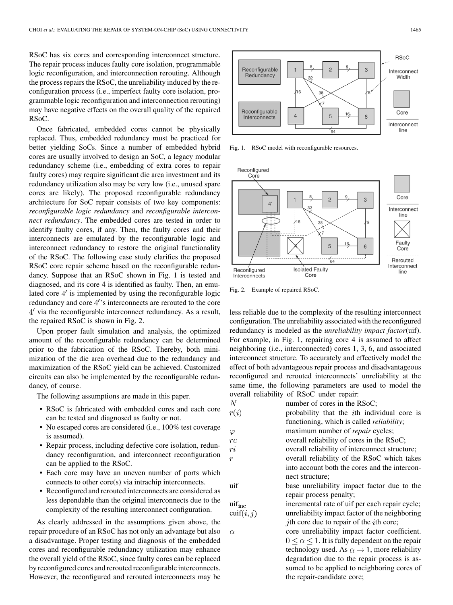RSoC has six cores and corresponding interconnect structure. The repair process induces faulty core isolation, programmable logic reconfiguration, and interconnection rerouting. Although the process repairs the RSoC, the unreliability induced by the reconfiguration process (i.e., imperfect faulty core isolation, programmable logic reconfiguration and interconnection rerouting) may have negative effects on the overall quality of the repaired RSoC.

Once fabricated, embedded cores cannot be physically replaced. Thus, embedded redundancy must be practiced for better yielding SoCs. Since a number of embedded hybrid cores are usually involved to design an SoC, a legacy modular redundancy scheme (i.e., embedding of extra cores to repair faulty cores) may require significant die area investment and its redundancy utilization also may be very low (i.e., unused spare cores are likely). The proposed reconfigurable redundancy architecture for SoC repair consists of two key components: *reconfigurable logic redundancy* and *reconfigurable interconnect redundancy*. The embedded cores are tested in order to identify faulty cores, if any. Then, the faulty cores and their interconnects are emulated by the reconfigurable logic and interconnect redundancy to restore the original functionality of the RSoC. The following case study clarifies the proposed RSoC core repair scheme based on the reconfigurable redundancy. Suppose that an RSoC shown in Fig. 1 is tested and diagnosed, and its core 4 is identified as faulty. Then, an emulated core  $4'$  is implemented by using the reconfigurable logic redundancy and core 4''s interconnects are rerouted to the core  $4'$  via the reconfigurable interconnect redundancy. As a result, the repaired RSoC is shown in Fig. 2.

Upon proper fault simulation and analysis, the optimized amount of the reconfigurable redundancy can be determined prior to the fabrication of the RSoC. Thereby, both minimization of the die area overhead due to the redundancy and maximization of the RSoC yield can be achieved. Customized circuits can also be implemented by the reconfigurable redundancy, of course.

The following assumptions are made in this paper.

- RSoC is fabricated with embedded cores and each core can be tested and diagnosed as faulty or not.
- No escaped cores are considered (i.e., 100% test coverage is assumed).
- Repair process, including defective core isolation, redundancy reconfiguration, and interconnect reconfiguration can be applied to the RSoC.
- Each core may have an uneven number of ports which connects to other core(s) via intrachip interconnects.
- Reconfigured and rerouted interconnects are considered as less dependable than the original interconnects due to the complexity of the resulting interconnect configuration.

As clearly addressed in the assumptions given above, the repair procedure of an RSoC has not only an advantage but also a disadvantage. Proper testing and diagnosis of the embedded cores and reconfigurable redundancy utilization may enhance the overall yield of the RSoC, since faulty cores can be replaced by reconfigured cores and rerouted reconfigurable interconnects. However, the reconfigured and rerouted interconnects may be



Fig. 1. RSoC model with reconfigurable resources.



Fig. 2. Example of repaired RSoC.

less reliable due to the complexity of the resulting interconnect configuration. The unreliability associated with the reconfigured redundancy is modeled as the *unreliability impact factor*(uif). For example, in Fig. 1, repairing core 4 is assumed to affect neighboring (i.e., interconnected) cores 1, 3, 6, and associated interconnect structure. To accurately and effectively model the effect of both advantageous repair process and disadvantageous reconfigured and rerouted interconnects' unreliability at the same time, the following parameters are used to model the overall reliability of RSoC under repair:

| Ν                             | number of cores in the RSoC;                            |
|-------------------------------|---------------------------------------------------------|
| r(i)                          | probability that the <i>i</i> th individual core is     |
|                               | functioning, which is called <i>reliability</i> ;       |
| $\varphi$                     | maximum number of <i>repair</i> cycles;                 |
| $r\bar{c}$                    | overall reliability of cores in the RSoC;               |
| $\dot{ri}$                    | overall reliability of interconnect structure;          |
| r                             | overall reliability of the RSoC which takes             |
|                               | into account both the cores and the intercon-           |
|                               | nect structure;                                         |
| uif                           | base unreliability impact factor due to the             |
|                               | repair process penalty;                                 |
| $\mathrm{uif}_{\mathrm{inc}}$ | incremental rate of uif per each repair cycle;          |
| cuif $(i, j)$                 | unreliability impact factor of the neighboring          |
|                               | <i>j</i> th core due to repair of the <i>i</i> th core; |
| $\alpha$                      | core unreliability impact factor coefficient.           |
|                               | 0224101111111                                           |

 $0 \leq \alpha \leq 1$ . It is fully dependent on the repair technology used. As  $\alpha \rightarrow 1$ , more reliability degradation due to the repair process is assumed to be applied to neighboring cores of the repair-candidate core;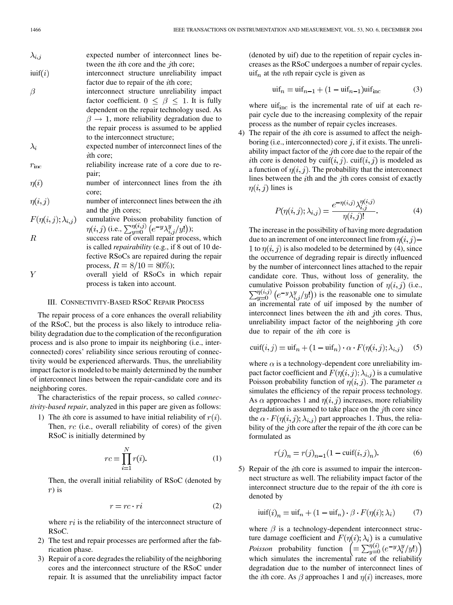- expected number of interconnect lines be- $\lambda_{i,j}$ tween the *i*th core and the *j*th core;
- $\text{init}(i)$  interconnect structure unreliability impact factor due to repair of the  $i$ th core;
- $\beta$ interconnect structure unreliability impact factor coefficient.  $0 \leq \beta \leq 1$ . It is fully dependent on the repair technology used. As  $\beta \rightarrow 1$ , more reliability degradation due to the repair process is assumed to be applied to the interconnect structure;
- expected number of interconnect lines of the  $\lambda_i$ ith core;
- reliability increase rate of a core due to re $r_{\rm inc}$ pair;
- $\eta(i)$ number of interconnect lines from the *i*th core;
- $\eta(i,j)$ number of interconnect lines between the  $i$ th and the  $i$ th cores;
- $F(\eta(i,j); \lambda_{i,j})$ cumulative Poisson probability function of  $\eta(i,j)$  (i.e.,  $\sum_{y=0}^{\eta(i,j)} (e^{-y} \lambda_{i,j}^y/y!)$ );
- $\, R \,$ success rate of overall repair process, which is called *repairability* (e.g., if 8 out of 10 defective RSoCs are repaired during the repair process,  $R = 8/10 = 80\%$ ;
- $\overline{Y}$ overall yield of RSoCs in which repair process is taken into account.

#### III. CONNECTIVITY-BASED RSOC REPAIR PROCESS

The repair process of a core enhances the overall reliability of the RSoC, but the process is also likely to introduce reliability degradation due to the complication of the reconfiguration process and is also prone to impair its neighboring (i.e., interconnected) cores' reliability since serious rerouting of connectivity would be experienced afterwards. Thus, the unreliability impact factor is modeled to be mainly determined by the number of interconnect lines between the repair-candidate core and its neighboring cores.

The characteristics of the repair process, so called *connectivity-based repair*, analyzed in this paper are given as follows:

1) The *i*th core is assumed to have initial reliability of  $r(i)$ . Then,  $rc$  (i.e., overall reliability of cores) of the given RSoC is initially determined by

$$
rc = \prod_{i=1}^{N} r(i).
$$
 (1)

Then, the overall initial reliability of RSoC (denoted by  $r$ ) is

$$
r = rc \cdot ri \tag{2}
$$

where  $ri$  is the reliability of the interconnect structure of RSoC.

- 2) The test and repair processes are performed after the fabrication phase.
- 3) Repair of a core degrades the reliability of the neighboring cores and the interconnect structure of the RSoC under repair. It is assumed that the unreliability impact factor

(denoted by uif) due to the repetition of repair cycles increases as the RSoC undergoes a number of repair cycles.  $\inf_n$  at the *n*th repair cycle is given as

$$
\text{uif}_n = \text{uif}_{n-1} + (1 - \text{uif}_{n-1})\text{uif}_{\text{inc}} \tag{3}
$$

where  $\mathrm{uif}_{\mathrm{inc}}$  is the incremental rate of uif at each repair cycle due to the increasing complexity of the repair process as the number of repair cycles increases.

4) The repair of the *i*th core is assumed to affect the neighboring (i.e., interconnected) core  $j$ , if it exists. The unreliability impact factor of the  $j$ th core due to the repair of the ith core is denoted by cuif(i, j). cuif(i, j) is modeled as a function of  $\eta(i, j)$ . The probability that the interconnect lines between the  $i$ th and the  $j$ th cores consist of exactly  $\eta(i, j)$  lines is

$$
P(\eta(i,j);\lambda_{i,j}) = \frac{e^{-\eta(i,j)}\lambda_{i,j}^{\eta(i,j)}}{\eta(i,j)!}.
$$
 (4)

The increase in the possibility of having more degradation due to an increment of one interconnect line from  $\eta(i, j)$  – 1 to  $\eta(i, j)$  is also modeled to be determined by (4), since the occurrence of degrading repair is directly influenced by the number of interconnect lines attached to the repair candidate core. Thus, without loss of generality, the cumulative Poisson probability function of  $\eta(i, j)$  (i.e.,  $\sum_{y=0}^{\eta(i,j)} (e^{-y} \lambda_{i,j}^y/y!)$  is the reasonable one to simulate an incremental rate of uif imposed by the number of interconnect lines between the *i*th and *j*th cores. Thus, unreliability impact factor of the neighboring *j*th core due to repair of the  $i$ th core is

$$
\text{cuif}(i,j) = \text{uif}_n + (1 - \text{uif}_n) \cdot \alpha \cdot F(\eta(i,j); \lambda_{i,j}) \tag{5}
$$

where  $\alpha$  is a technology-dependent core unreliability impact factor coefficient and  $F(\eta(i, j); \lambda_{i,j})$  is a cumulative Poisson probability function of  $\eta(i, j)$ . The parameter  $\alpha$ simulates the efficiency of the repair process technology. As  $\alpha$  approaches 1 and  $\eta(i, j)$  increases, more reliability degradation is assumed to take place on the  $j$ th core since the  $\alpha \cdot F(\eta(i,j); \lambda_{i,j})$  part approaches 1. Thus, the reliability of the j<sup>th</sup> core after the repair of the *i*th core can be formulated as

$$
r(j)_n = r(j)_{n-1} (1 - \text{cuf}(i, j)_n). \tag{6}
$$

5) Repair of the  $i$ th core is assumed to impair the interconnect structure as well. The reliability impact factor of the interconnect structure due to the repair of the  $i$ th core is denoted by

$$
i\text{uif}(i)_n = \text{uif}_n + (1 - \text{uif}_n) \cdot \beta \cdot F(\eta(i); \lambda_i)
$$
 (7)

where  $\beta$  is a technology-dependent interconnect structure damage coefficient and  $F(\eta(i); \lambda_i)$  is a cumulative *Poisson* probability function  $\left( = \sum_{y=0}^{\eta(i)} (e^{-y} \lambda_i^y / y!) \right)$ which simulates the incremental rate of the reliability degradation due to the number of interconnect lines of the *i*th core. As  $\beta$  approaches 1 and  $\eta(i)$  increases, more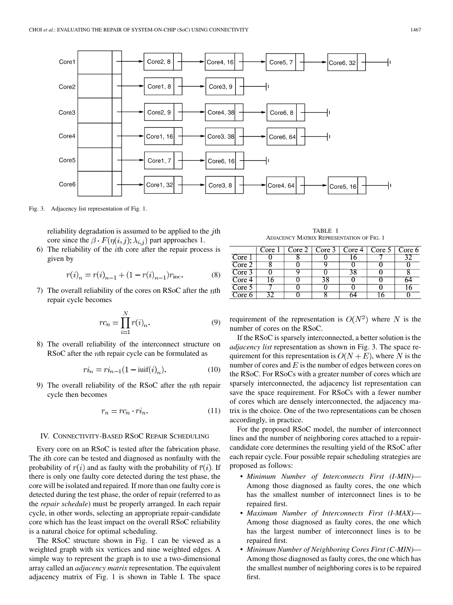

Fig. 3. Adjacency list representation of Fig. 1.

reliability degradation is assumed to be applied to the  $j$ th core since the  $\beta \cdot F(\eta(i, j); \lambda_{i,j})$  part approaches 1.

6) The reliability of the *i*th core after the repair process is given by

$$
r(i)_n = r(i)_{n-1} + (1 - r(i)_{n-1})r_{\text{inc}}.
$$
 (8)

7) The overall reliability of the cores on RSoC after the  $n$ th repair cycle becomes

$$
rc_n = \prod_{i=1}^{N} r(i)_n.
$$
 (9)

8) The overall reliability of the interconnect structure on RSoC after the  $n$ th repair cycle can be formulated as

$$
ri_n = ri_{n-1}(1 - \text{iuf}(i)_n). \tag{10}
$$

9) The overall reliability of the RSoC after the *th repair* cycle then becomes

$$
r_n = rc_n \cdot r i_n. \tag{11}
$$

#### IV. CONNECTIVITY-BASED RSOC REPAIR SCHEDULING

Every core on an RSoC is tested after the fabrication phase. The  $i$ th core can be tested and diagnosed as nonfaulty with the probability of  $r(i)$  and as faulty with the probability of  $\overline{r}(i)$ . If there is only one faulty core detected during the test phase, the core will be isolated and repaired. If more than one faulty core is detected during the test phase, the order of repair (referred to as the *repair schedule*) must be properly arranged. In each repair cycle, in other words, selecting an appropriate repair-candidate core which has the least impact on the overall RSoC reliability is a natural choice for optimal scheduling.

The RSoC structure shown in Fig. 1 can be viewed as a weighted graph with six vertices and nine weighted edges. A simple way to represent the graph is to use a two-dimensional array called an *adjacency matrix* representation. The equivalent adjacency matrix of Fig. 1 is shown in Table I. The space

TABLE I ADJACENCY MATRIX REPRESENTATION OF FIG. 1

|        | Core 1 |  | $\vert \text{Core 2} \vert \text{Core 3} \vert \text{Core 4} \vert \text{Core 5} \vert \text{Core 6}$ |    |
|--------|--------|--|-------------------------------------------------------------------------------------------------------|----|
| Core   |        |  |                                                                                                       |    |
| Core 2 |        |  |                                                                                                       |    |
| Core 3 |        |  |                                                                                                       |    |
| Core 4 | h      |  |                                                                                                       | -4 |
| Core 5 |        |  |                                                                                                       |    |
| Core 6 |        |  |                                                                                                       |    |

requirement of the representation is  $O(N^2)$  where N is the number of cores on the RSoC.

If the RSoC is sparsely interconnected, a better solution is the *adjacency list* representation as shown in Fig. 3. The space requirement for this representation is  $O(N + E)$ , where N is the number of cores and  $E$  is the number of edges between cores on the RSoC. For RSoCs with a greater number of cores which are sparsely interconnected, the adjacency list representation can save the space requirement. For RSoCs with a fewer number of cores which are densely interconnected, the adjacency matrix is the choice. One of the two representations can be chosen accordingly, in practice.

For the proposed RSoC model, the number of interconnect lines and the number of neighboring cores attached to a repaircandidate core determines the resulting yield of the RSoC after each repair cycle. Four possible repair scheduling strategies are proposed as follows:

- *Minimum Number of Interconnects First (I-MIN)* Among those diagnosed as faulty cores, the one which has the smallest number of interconnect lines is to be repaired first.
- *Maximum Number of Interconnects First (I-MAX)* Among those diagnosed as faulty cores, the one which has the largest number of interconnect lines is to be repaired first.
- *Minimum Number of Neighboring Cores First (C-MIN)* Among those diagnosed as faulty cores, the one which has the smallest number of neighboring cores is to be repaired first.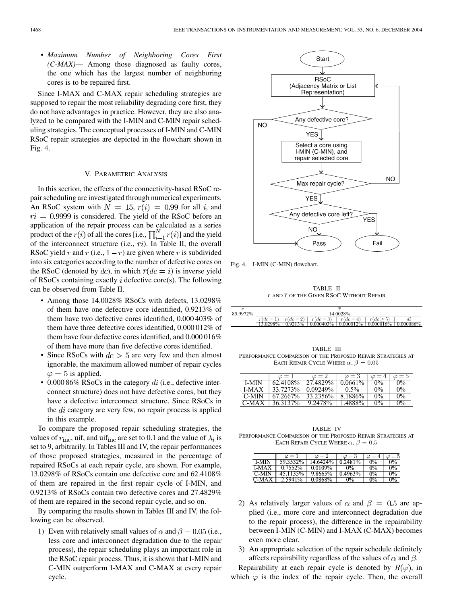• *Maximum Number of Neighboring Cores First (C-MAX)*— Among those diagnosed as faulty cores, the one which has the largest number of neighboring cores is to be repaired first.

Since I-MAX and C-MAX repair scheduling strategies are supposed to repair the most reliability degrading core first, they do not have advantages in practice. However, they are also analyzed to be compared with the I-MIN and C-MIN repair scheduling strategies. The conceptual processes of I-MIN and C-MIN RSoC repair strategies are depicted in the flowchart shown in Fig. 4.

#### V. PARAMETRIC ANALYSIS

In this section, the effects of the connectivity-based RSoC repair scheduling are investigated through numerical experiments. An RSoC system with  $N = 15$ ,  $r(i) = 0.99$  for all i, and  $ri = 0.9999$  is considered. The yield of the RSoC before an application of the repair process can be calculated as a series product of the  $r(i)$  of all the cores [i.e.,  $\prod_{i=1}^{N} r(i)$ ] and the yield of the interconnect structure (i.e.,  $ri$ ). In Table II, the overall RSoC yield r and  $\bar{r}$  (i.e.,  $1 - r$ ) are given where  $\bar{r}$  is subdivided into six categories according to the number of defective cores on the RSoC (denoted by dc), in which  $\overline{r}(dc = i)$  is inverse yield of RSoCs containing exactly  $i$  defective core(s). The following can be observed from Table II.

- Among those 14.0028% RSoCs with defects, 13.0298% of them have one defective core identified, 0.9213% of them have two defective cores identified, 0.000 403% of them have three defective cores identified, 0.000 012% of them have four defective cores identified, and 0.000 016% of them have more than five defective cores identified.
- Since RSoCs with  $dc > 5$  are very few and then almost ignorable, the maximum allowed number of repair cycles  $\varphi = 5$  is applied.
- 0.000 86% RSoCs in the category  $di$  (i.e., defective interconnect structure) does not have defective cores, but they have a defective interconnect structure. Since RSoCs in the  $di$  category are very few, no repair process is applied in this example.

To compare the proposed repair scheduling strategies, the values of  $r_{\text{inc}}$ , uif, and uif<sub>inc</sub> are set to 0.1 and the value of  $\lambda_i$  is set to 9, arbitrarily. In Tables III and IV, the repair performances of those proposed strategies, measured in the percentage of repaired RSoCs at each repair cycle, are shown. For example, 13.0298% of RSoCs contain one defective core and 62.4108% of them are repaired in the first repair cycle of I-MIN, and 0.9213% of RSoCs contain two defective cores and 27.4829% of them are repaired in the second repair cycle, and so on.

By comparing the results shown in Tables III and IV, the following can be observed.

1) Even with relatively small values of  $\alpha$  and  $\beta = 0.05$  (i.e., less core and interconnect degradation due to the repair process), the repair scheduling plays an important role in the RSoC repair process. Thus, it is shown that I-MIN and C-MIN outperform I-MAX and C-MAX at every repair cycle.



Fig. 4. I-MIN (C-MIN) flowchart.

TABLE II  $r$  and  $\overline{r}$  of the Given RSoC Without Repair

| 85.9972% | 4.0028%                  |         |                                                           |                           |                        |             |  |
|----------|--------------------------|---------|-----------------------------------------------------------|---------------------------|------------------------|-------------|--|
|          | $\overline{H}$<br>$dc=1$ |         | $\bar{r}(dc = 2)$   $\bar{r}(dc = 3)$   $\bar{r}(dc = 4)$ |                           | $\overline{r}(dc > 5)$ |             |  |
|          | '3.0298%                 | 0.9213% | $0.000403\%$                                              | $0.000012\% + 0.000016\%$ |                        | - 0.000086% |  |

TABLE III PERFORMANCE COMPARISON OF THE PROPOSED REPAIR STRATEGIES AT EACH REPAIR CYCLE WHERE  $\alpha$ ,  $\beta = 0.05$ 

|        | $\varphi =$       | $=$        | $\varphi = \overline{\cdot}$ |       |       |
|--------|-------------------|------------|------------------------------|-------|-------|
| - LMIN | 62.4108%          | 27.4829%   | -0.0661%                     | $0\%$ | $0\%$ |
| L-MAX  | 33.7273% 0.09249% |            | $0.5\%$                      | $0\%$ | $0\%$ |
| C-MIN  | 67.2667%          | 33.2356\%  | 8.1886%                      | $0\%$ | $0\%$ |
| C-MAT  | 36.3137%          | $9.2478\%$ | 1.4888%                      | $0\%$ | 0%    |

TABLE IV PERFORMANCE COMPARISON OF THE PROPOSED REPAIR STRATEGIES AT EACH REPAIR CYCLE WHERE  $\alpha$ ,  $\beta = 0.5$ 

|         |           | $\omega = \lambda$ |            | $\varphi =$ |       |
|---------|-----------|--------------------|------------|-------------|-------|
| I-MIN   | 59.3532%  | 14.6424%           | $0.2481\%$ | $1^{10}$    | $0\%$ |
| - L-MAX | 0.7552%   | -0.0109%           | $1\%$      | $0\%$       | $0\%$ |
| -C-MIN  | 45.1135\% | 9.8665%            | 0.4963%    | $0\%$       | $0\%$ |
| C-MAX   | -2.5941%  | 0.0868%            | 10%        | 19%         | 0%    |

- 2) As relatively larger values of  $\alpha$  and  $\beta = 0.5$  are applied (i.e., more core and interconnect degradation due to the repair process), the difference in the repairability between I-MIN (C-MIN) and I-MAX (C-MAX) becomes even more clear.
- 3) An appropriate selection of the repair schedule definitely affects repairability regardless of the values of  $\alpha$  and  $\beta$ .

Repairability at each repair cycle is denoted by  $R(\varphi)$ , in which  $\varphi$  is the index of the repair cycle. Then, the overall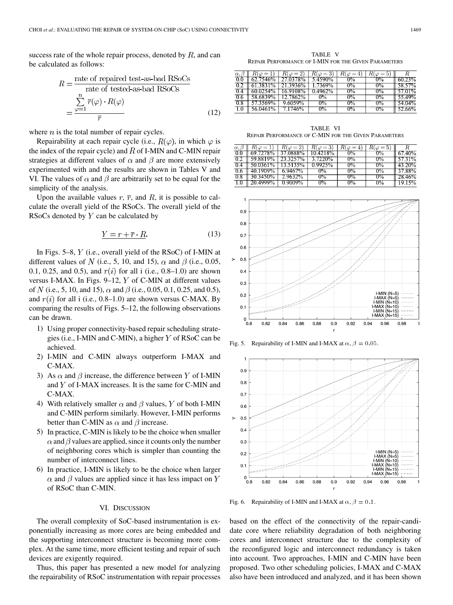success rate of the whole repair process, denoted by  $R$ , and can be calculated as follows:

$$
R = \frac{\text{rate of repaired test-as-bad RSoCs}}{\text{rate of tested-as-bad RSoCs}} = \frac{\sum_{\varphi=1}^{n} \overline{r}(\varphi) \cdot R(\varphi)}{\overline{r}}
$$
(12)

where  $n$  is the total number of repair cycles.

j

Repairability at each repair cycle (i.e.,  $R(\varphi)$ , in which  $\varphi$  is the index of the repair cycle) and  $R$  of I-MIN and C-MIN repair strategies at different values of  $\alpha$  and  $\beta$  are more extensively experimented with and the results are shown in Tables V and VI. The values of  $\alpha$  and  $\beta$  are arbitrarily set to be equal for the simplicity of the analysis.

Upon the available values  $r$ ,  $\bar{r}$ , and  $R$ , it is possible to calculate the overall yield of the RSoCs. The overall yield of the RSoCs denoted by  $Y$  can be calculated by

$$
\underline{Y} = r + \overline{r} \cdot R. \tag{13}
$$

In Figs.  $5-8$ ,  $Y$  (i.e., overall yield of the RSoC) of I-MIN at different values of N (i.e., 5, 10, and 15),  $\alpha$  and  $\beta$  (i.e., 0.05, 0.1, 0.25, and 0.5), and  $r(i)$  for all i (i.e., 0.8–1.0) are shown versus I-MAX. In Figs. 9–12,  $Y$  of C-MIN at different values of N (i.e., 5, 10, and 15),  $\alpha$  and  $\beta$  (i.e., 0.05, 0.1, 0.25, and 0.5), and  $r(i)$  for all i (i.e., 0.8–1.0) are shown versus C-MAX. By comparing the results of Figs. 5–12, the following observations can be drawn.

- 1) Using proper connectivity-based repair scheduling strategies (i.e., I-MIN and C-MIN), a higher  $Y$  of RSoC can be achieved.
- 2) I-MIN and C-MIN always outperform I-MAX and C-MAX.
- 3) As  $\alpha$  and  $\beta$  increase, the difference between Y of I-MIN and  $Y$  of I-MAX increases. It is the same for C-MIN and C-MAX.
- 4) With relatively smaller  $\alpha$  and  $\beta$  values, Y of both I-MIN and C-MIN perform similarly. However, I-MIN performs better than C-MIN as  $\alpha$  and  $\beta$  increase.
- 5) In practice, C-MIN is likely to be the choice when smaller  $\alpha$  and  $\beta$  values are applied, since it counts only the number of neighboring cores which is simpler than counting the number of interconnect lines.
- 6) In practice, I-MIN is likely to be the choice when larger  $\alpha$  and  $\beta$  values are applied since it has less impact on Y of RSoC than C-MIN.

#### VI. DISCUSSION

The overall complexity of SoC-based instrumentation is exponentially increasing as more cores are being embedded and the supporting interconnect structure is becoming more complex. At the same time, more efficient testing and repair of such devices are exigently required.

Thus, this paper has presented a new model for analyzing the repairability of RSoC instrumentation with repair processes

TABLE V REPAIR PERFORMANCE OF I-MIN FOR THE GIVEN PARAMETERS

| $\alpha, \beta$ | $R(\varphi = 1)$ .                    | $r(\varphi=2)$ | $R(\varphi=3)$ |                       | $R(\varphi = \varphi)$ |                      |
|-----------------|---------------------------------------|----------------|----------------|-----------------------|------------------------|----------------------|
|                 | 0.0 $\parallel$ 62.7546%   27.0378%   |                | 5.4590%        | 0%                    | 0%                     | 60.23%               |
|                 | $0.2$   61.3831%   21.3936%   1.7369% |                |                | $0\%$                 | $0\%$                  | 1 58.57%             |
| 0.4             | $60.0254\%$   16.9108%                |                | 0.4962%        | $\mathbb{D}_{\infty}$ | 19%                    | li 57.01%            |
|                 | 0.6 $\pm$ 58.6839% $\pm$ 12.7862%     |                | በ%             | $0\%$                 | $0\%$                  | IL 55.49%            |
|                 | $0.8$   57.3569%   9.6059%            |                | $0\%$          | $0\%$                 | $0\%$                  | ll 54.04%            |
|                 | $1.0$   56.0461%   7.1746%            |                | $0\%$          | $0\%$                 | $0\%$                  | $\frac{1}{2}$ 52.66% |

TABLE VI REPAIR PERFORMANCE OF C-MIN FOR THE GIVEN PARAMETERS

| $\alpha$ .            |                     | $\mathcal{H}(\varphi=2)$ | $R(\varphi=3)$ | $R(\varphi = \cdot$ | $R(\varphi = 5)$ |         |
|-----------------------|---------------------|--------------------------|----------------|---------------------|------------------|---------|
| 0.0                   | 69.7278%            | 137.0888%                | 110.4218%      | $0\%$               | 0%               | 67.40%  |
| $\sigma$ <sub>2</sub> | 59.8819%   23.3257% |                          | 3.7220%        | 0%                  | 0%               | 57.31%  |
| 0.4                   | l 50.0361%          | 13.5135%                 | $0.9925\%$     | $0\%$               | $0\%$            | 43.20%  |
| 0.6                   | 40.1909%            | 6.9467%                  | $0\%$          | $0\%$               | $0\%$            | 137.88% |
| -0.8                  | 30.3450%            | 2.9632%                  | $0\%$          | $0\%$               | 0%               | 28.46%  |
|                       | 20.4999%            | 0.9009%                  | 0%             | 0%                  | ')%              | 19.15%  |



Fig. 5. Repairability of I-MIN and I-MAX at  $\alpha$ ,  $\beta = 0.05$ .



Fig. 6. Repairability of I-MIN and I-MAX at  $\alpha$ ,  $\beta = 0.1$ .

based on the effect of the connectivity of the repair-candidate core where reliability degradation of both neighboring cores and interconnect structure due to the complexity of the reconfigured logic and interconnect redundancy is taken into account. Two approaches, I-MIN and C-MIN have been proposed. Two other scheduling policies, I-MAX and C-MAX also have been introduced and analyzed, and it has been shown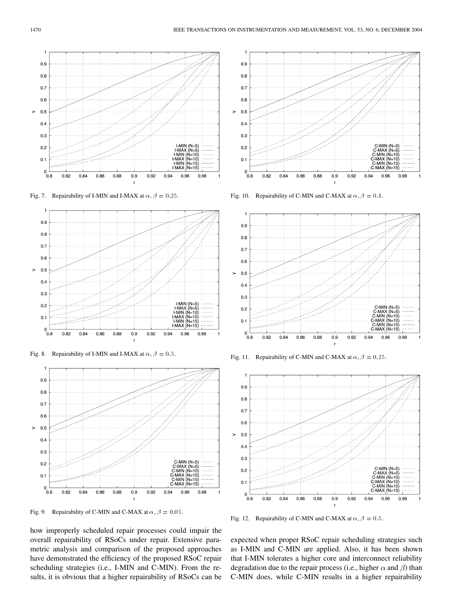

Fig. 7. Repairability of I-MIN and I-MAX at  $\alpha$ ,  $\beta = 0.25$ .



Fig. 8. Repairability of I-MIN and I-MAX at  $\alpha$ ,  $\beta = 0.5$ .



Fig. 9. Repairability of C-MIN and C-MAX at  $\alpha$ ,  $\beta = 0.05$ .

how improperly scheduled repair processes could impair the overall repairability of RSoCs under repair. Extensive parametric analysis and comparison of the proposed approaches have demonstrated the efficiency of the proposed RSoC repair scheduling strategies (i.e., I-MIN and C-MIN). From the results, it is obvious that a higher repairability of RSoCs can be



Fig. 10. Repairability of C-MIN and C-MAX at  $\alpha$ ,  $\beta = 0.1$ .



Fig. 11. Repairability of C-MIN and C-MAX at  $\alpha$ ,  $\beta = 0.25$ .



Fig. 12. Repairability of C-MIN and C-MAX at  $\alpha$ ,  $\beta = 0.5$ .

expected when proper RSoC repair scheduling strategies such as I-MIN and C-MIN are applied. Also, it has been shown that I-MIN tolerates a higher core and interconnect reliability degradation due to the repair process (i.e., higher  $\alpha$  and  $\beta$ ) than C-MIN does, while C-MIN results in a higher repairability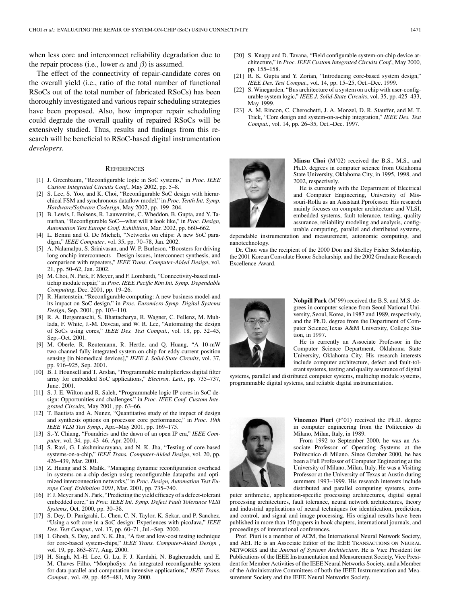<span id="page-8-0"></span>when less core and interconnect reliability degradation due to the repair process (i.e., lower  $\alpha$  and  $\beta$ ) is assumed.

The effect of the connectivity of repair-candidate cores on the overall yield (i.e., ratio of the total number of functional RSoCs out of the total number of fabricated RSoCs) has been thoroughly investigated and various repair scheduling strategies have been proposed. Also, how improper repair scheduling could degrade the overall quality of repaired RSoCs will be extensively studied. Thus, results and findings from this research will be beneficial to RSoC-based digital instrumentation *developers*.

#### **REFERENCES**

- [1] J. Greenbaum, "Reconfigurable logic in SoC systems," in *Proc. IEEE Custom Integrated Circuits Conf.*, May 2002, pp. 5–8.
- [2] S. Lee, S. Yoo, and K. Choi, "Reconfigurable SoC design with hierarchical FSM and synchronous dataflow model," in *Proc. Tenth Int. Symp. Hardware/Software Codesign*, May 2002, pp. 199–204.
- [3] B. Lewis, I. Bolsens, R. Lauwereins, C. Wheddon, B. Gupta, and Y. Tanurhan, "Reconfigurable SoC—what will it look like," in *Proc. Design, Automation Test Europe Conf. Exhibition*, Mar. 2002, pp. 660–662.
- [4] L. Benini and G. De Micheli, "Networks on chips: A new SoC paradigm," *IEEE Computer*, vol. 35, pp. 70–78, Jan. 2002.
- [5] A. Nalamalpu, S. Srinivasan, and W. P. Burleson, "Boosters for driving long onchip interconnects—Design issues, interconnect synthesis, and comparison with repeaters," *IEEE Trans. Computer-Aided Design*, vol. 21, pp. 50–62, Jan. 2002.
- [6] M. Choi, N. Park, F. Meyer, and F. Lombardi, "Connectivity-based multichip module repair," in *Proc. IEEE Pacific Rim Int. Symp. Dependable Computing*, Dec. 2001, pp. 19–26.
- [7] R. Hartenstein, "Reconfigurable computing: A new business model-and its impact on SoC design," in *Proc. Euromicro Symp. Digital Systems Design*, Sep. 2001, pp. 103–110.
- [8] R. A. Bergamaschi, S. Bhattacharya, R. Wagner, C. Fellenz, M. Muhlada, F. White, J.-M. Daveau, and W. R. Lee, "Automating the design of SoCs using cores," *IEEE Des. Test Comput.*, vol. 18, pp. 32–45, Sep.–Oct. 2001.
- [9] M. Oberle, R. Reutemann, R. Hertle, and Q. Huang, "A 10-mW two-channel fully integrated system-on-chip for eddy-current position sensing [in biomedical devices]," *IEEE J. Solid-State Circuits*, vol. 37, pp. 916–925, Sep. 2001.
- [10] B. I. Hounsell and T. Arslan, "Programmable multiplierless digital filter array for embedded SoC applications," *Electron. Lett.*, pp. 735–737, June. 2001.
- [11] S. J. E. Wilton and R. Saleh, "Programmable logic IP cores in SoC design: Opportunities and challenges," in *Proc. IEEE Conf. Custom Integrated Circuits*, May 2001, pp. 63–66.
- [12] T. Bautista and A. Nunez, "Quantitative study of the impact of design and synthesis options on processor core performance," in *Proc. 19th IEEE VLSI Test Symp.*, Apr.–May 2001, pp. 169–175.
- [13] S.-Y. Chiang, "Foundries and the dawn of an open IP era," *IEEE Computer*, vol. 34, pp. 43–46, Apr. 2001.
- [14] S. Ravi, G. Lakshminarayana, and N. K. Jha, "Testing of core-based systems-on-a-chip," *IEEE Trans. Computer-Aided Design*, vol. 20, pp. 426–439, Mar. 2001.
- [15] Z. Huang and S. Malik, "Managing dynamic reconfiguration overhead in systems-on-a-chip design using reconfigurable datapaths and optimized interconnection networks," in *Proc. Design, Automation Test Europe Conf. Exhibition 2001*, Mar. 2001, pp. 735–740.
- [16] F. J. Meyer and N. Park, "Predicting the yield efficacy of a defect-tolerant embedded core," in *Proc. IEEE Int. Symp. Defect Fault Tolerance VLSI Systems*, Oct. 2000, pp. 30–38.
- [17] S. Dey, D. Panigrahi, L. Chen, C. N. Taylor, K. Sekar, and P. Sanchez, "Using a soft core in a SoC design: Experiences with picoJava," *IEEE Des. Test Comput.*, vol. 17, pp. 60–71, Jul.–Sep. 2000.
- [18] I. Ghosh, S. Dey, and N. K. Jha, "A fast and low-cost testing technique for core-based system-chips," *IEEE Trans. Computer-Aided Design* , vol. 19, pp. 863–877, Aug. 2000.
- [19] H. Singh, M.-H. Lee, G. Lu, F. J. Kurdahi, N. Bagherzadeh, and E. M. Chaves Filho, "MorphoSys: An integrated reconfigurable system for data-parallel and computation-intensive applications," *IEEE Trans. Comput.*, vol. 49, pp. 465–481, May 2000.
- [20] S. Knapp and D. Tavana, "Field configurable system-on-chip device architecture," in *Proc. IEEE Custom Integrated Circuits Conf.*, May 2000, pp. 155–158.
- [21] R. K. Gupta and Y. Zorian, "Introducing core-based system design," *IEEE Des. Test Comput.*, vol. 14, pp. 15–25, Oct.–Dec. 1999.
- [22] S. Winegarden, "Bus architecture of a system on a chip with user-configurable system logic," *IEEE J. Solid-State Circuits*, vol. 35, pp. 425–433, May 1999.
- [23] A. M. Rincon, C. Cherochetti, J. A. Monzel, D. R. Stauffer, and M. T. Trick, "Core design and system-on-a-chip integration," *IEEE Des. Test Comput.*, vol. 14, pp. 26–35, Oct.–Dec. 1997.



**Minsu Choi** (M'02) received the B.S., M.S., and Ph.D. degrees in computer science from Oklahoma State University, Oklahoma City, in 1995, 1998, and 2002, respectively.

He is currently with the Department of Electrical and Computer Engineering, University of Missouri-Rolla as an Assistant Pprofessor. His research mainly focuses on computer architecture and VLSI, embedded systems, fault tolerance, testing, quality assurance, reliability modeling and analysis, config-

urable computing, parallel and distributed systems, dependable instrumentation and measurement, autonomic computing, and nanotechnology.

Dr. Choi was the recipient of the 2000 Don and Shelley Fisher Scholarship, the 2001 Korean Consulate Honor Scholarship, and the 2002 Graduate Research Excellence Award.



**Nohpill Park** (M'99) received the B.S. and M.S. degrees in computer science from Seoul National University, Seoul, Korea, in 1987 and 1989, respectively, and the Ph.D. degree from the Department of Computer Science,Texas A&M University, College Station, in 1997.

He is currently an Associate Professor in the Computer Science Department, Oklahoma State University, Oklahoma City. His research interests include computer architecture, defect and fault-tolerant systems, testing and quality assurance of digital

systems, parallel and distributed computer systems, multichip module systems, programmable digital systems, and reliable digital instrumentation.



**Vincenzo Piuri** (F'01) received the Ph.D. degree in computer engineering from the Politecnico di Milano, Milan, Italy, in 1989.

From 1992 to September 2000, he was an Associate Professor of Operating Systems at the Politecnico di Milano. Since October 2000, he has been a Full Professor of Computer Engineering at the University of Milano, Milan, Italy. He was a Visiting Professor at the University of Texas at Austin during summers 1993–1999. His research interests include distributed and parallel computing systems, com-

puter arithmetic, application-specific processing architectures, digital signal processing architectures, fault tolerance, neural network architectures, theory and industrial applications of neural techniques for identification, prediction, and control, and signal and image processing. His original results have been published in more than 150 papers in book chapters, international journals, and proceedings of international conferences.

Prof. Piuri is a member of ACM, the International Neural Network Society, and AEI. He is an Associate Editor of the IEEE TRANSACTIONS ON NEURAL NETWORKS and the *Journal of Systems Architecture*. He is Vice President for Publications of the IEEE Instrumentation and Measurement Society, Vice President for Member Activities of the IEEE Neural Networks Society, and a Member of the Administrative Committees of both the IEEE Instrumentation and Measurement Society and the IEEE Neural Networks Society.